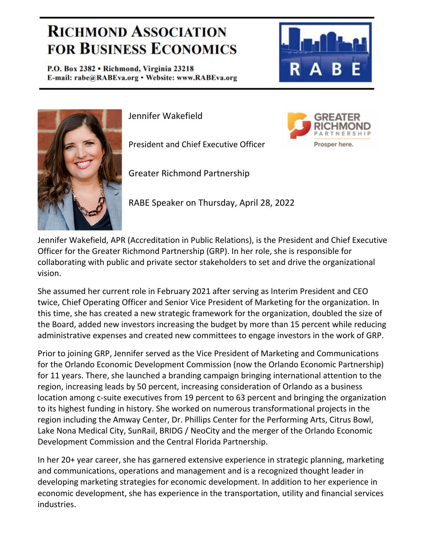## **RICHMOND ASSOCIATION FOR BUSINESS ECONOMICS**

P.O. Box 2382 . Richmond, Virginia 23218 E-mail: rabe@RABEva.org · Website: www.RABEva.org



Prosper here.



Jennifer Wakefield

President and Chief Executive Officer

Greater Richmond Partnership

RABE Speaker on Thursday, April 28, 2022

Jennifer Wakefield, APR (Accreditation in Public Relations), is the President and Chief Executive Officer for the Greater Richmond Partnership (GRP). In her role, she is responsible for collaborating with public and private sector stakeholders to set and drive the organizational vision.

She assumed her current role in February 2021 after serving as Interim President and CEO twice, Chief Operating Officer and Senior Vice President of Marketing for the organization. In this time, she has created a new strategic framework for the organization, doubled the size of the Board, added new investors increasing the budget by more than 15 percent while reducing administrative expenses and created new committees to engage investors in the work of GRP.

Prior to joining GRP, Jennifer served as the Vice President of Marketing and Communications for the Orlando Economic Development Commission (now the Orlando Economic Partnership) for 11 years. There, she launched a branding campaign bringing international attention to the region, increasing leads by 50 percent, increasing consideration of Orlando as a business location among c‐suite executives from 19 percent to 63 percent and bringing the organization to its highest funding in history. She worked on numerous transformational projects in the region including the Amway Center, Dr. Phillips Center for the Performing Arts, Citrus Bowl, Lake Nona Medical City, SunRail, BRIDG / NeoCity and the merger of the Orlando Economic Development Commission and the Central Florida Partnership.

In her 20+ year career, she has garnered extensive experience in strategic planning, marketing and communications, operations and management and is a recognized thought leader in developing marketing strategies for economic development. In addition to her experience in economic development, she has experience in the transportation, utility and financial services industries.